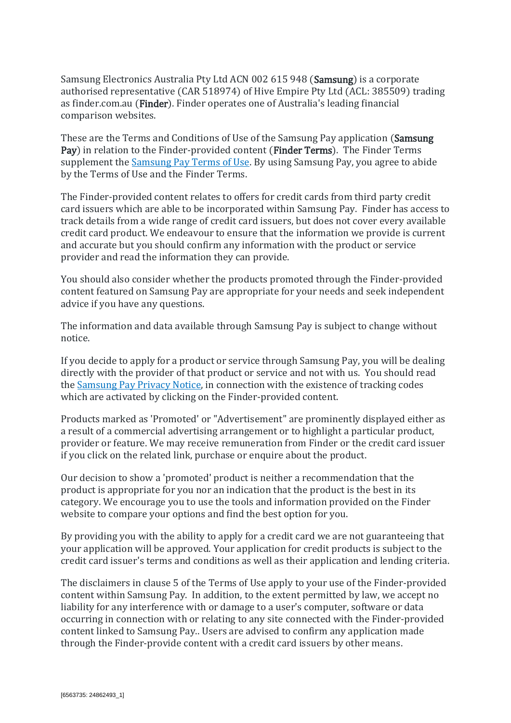Samsung Electronics Australia Pty Ltd ACN 002 615 948 (Samsung) is a corporate authorised representative (CAR 518974) of Hive Empire Pty Ltd (ACL: 385509) trading as finder.com.au (Finder). Finder operates one of Australia's leading financial comparison websites.

These are the Terms and Conditions of Use of the Samsung Pay application (Samsung) Pay) in relation to the Finder-provided content (Finder Terms). The Finder Terms supplement the **Samsung Pay Terms of Use**. By using Samsung Pay, you agree to abide by the Terms of Use and the Finder Terms.

The Finder-provided content relates to offers for credit cards from third party credit card issuers which are able to be incorporated within Samsung Pay. Finder has access to track details from a wide range of credit card issuers, but does not cover every available credit card product. We endeavour to ensure that the information we provide is current and accurate but you should confirm any information with the product or service provider and read the information they can provide.

You should also consider whether the products promoted through the Finder-provided content featured on Samsung Pay are appropriate for your needs and seek independent advice if you have any questions.

The information and data available through Samsung Pay is subject to change without notice.

If you decide to apply for a product or service through Samsung Pay, you will be dealing directly with the provider of that product or service and not with us. You should read the Samsung [Pay Privacy Notice,](https://images.samsung.com/is/content/samsung/p5/au/apps/samsungpay/samsung-pay-privacy-statement.pdf?$ORIGIN_PDF$) in connection with the existence of tracking codes which are activated by clicking on the Finder-provided content.

Products marked as 'Promoted' or "Advertisement" are prominently displayed either as a result of a commercial advertising arrangement or to highlight a particular product, provider or feature. We may receive remuneration from Finder or the credit card issuer if you click on the related link, purchase or enquire about the product.

Our decision to show a 'promoted' product is neither a recommendation that the product is appropriate for you nor an indication that the product is the best in its category. We encourage you to use the tools and information provided on the Finder website to compare your options and find the best option for you.

By providing you with the ability to apply for a credit card we are not guaranteeing that your application will be approved. Your application for credit products is subject to the credit card issuer's terms and conditions as well as their application and lending criteria.

The disclaimers in clause 5 of the Terms of Use apply to your use of the Finder-provided content within Samsung Pay. In addition, to the extent permitted by law, we accept no liability for any interference with or damage to a user's computer, software or data occurring in connection with or relating to any site connected with the Finder-provided content linked to Samsung Pay.. Users are advised to confirm any application made through the Finder-provide content with a credit card issuers by other means.